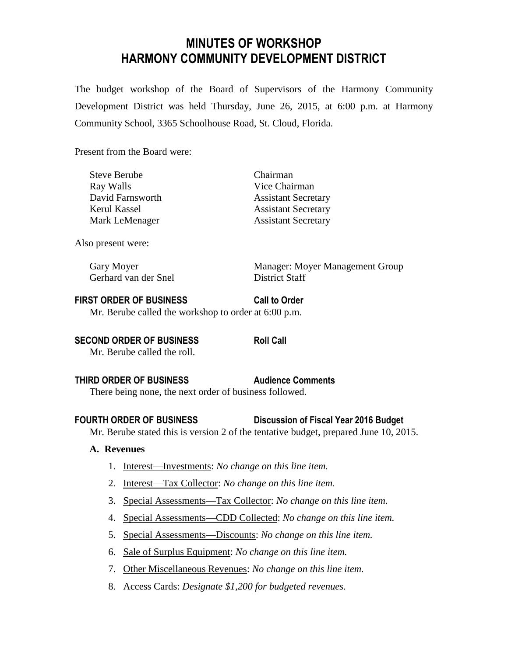# **MINUTES OF WORKSHOP HARMONY COMMUNITY DEVELOPMENT DISTRICT**

The budget workshop of the Board of Supervisors of the Harmony Community Development District was held Thursday, June 26, 2015, at 6:00 p.m. at Harmony Community School, 3365 Schoolhouse Road, St. Cloud, Florida.

Present from the Board were:

Steve Berube Chairman Ray Walls **No. 2.1. Solution** Vice Chairman

David Farnsworth Assistant Secretary Kerul Kassel **Assistant Secretary** Mark LeMenager Assistant Secretary

Also present were:

Gerhard van der Snel District Staff

Gary Moyer Manager: Moyer Management Group

#### **FIRST ORDER OF BUSINESS Call to Order**

Mr. Berube called the workshop to order at 6:00 p.m.

**SECOND ORDER OF BUSINESS Roll Call** 

Mr. Berube called the roll.

# **THIRD ORDER OF BUSINESS Audience Comments**

There being none, the next order of business followed.

# **FOURTH ORDER OF BUSINESS Discussion of Fiscal Year 2016 Budget**

Mr. Berube stated this is version 2 of the tentative budget, prepared June 10, 2015.

#### **A. Revenues**

- 1. Interest—Investments: *No change on this line item.*
- 2. Interest—Tax Collector: *No change on this line item.*
- 3. Special Assessments—Tax Collector: *No change on this line item.*
- 4. Special Assessments—CDD Collected: *No change on this line item.*
- 5. Special Assessments—Discounts: *No change on this line item.*
- 6. Sale of Surplus Equipment: *No change on this line item.*
- 7. Other Miscellaneous Revenues: *No change on this line item.*
- 8. Access Cards: *Designate \$1,200 for budgeted revenues.*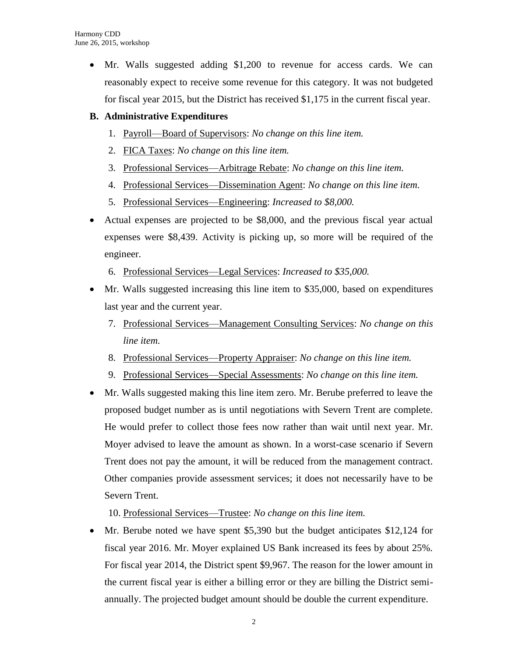Mr. Walls suggested adding \$1,200 to revenue for access cards. We can reasonably expect to receive some revenue for this category. It was not budgeted for fiscal year 2015, but the District has received \$1,175 in the current fiscal year.

## **B. Administrative Expenditures**

- 1. Payroll—Board of Supervisors: *No change on this line item.*
- 2. FICA Taxes: *No change on this line item.*
- 3. Professional Services—Arbitrage Rebate: *No change on this line item.*
- 4. Professional Services—Dissemination Agent: *No change on this line item.*
- 5. Professional Services—Engineering: *Increased to \$8,000.*
- Actual expenses are projected to be \$8,000, and the previous fiscal year actual expenses were \$8,439. Activity is picking up, so more will be required of the engineer.
	- 6. Professional Services—Legal Services: *Increased to \$35,000.*
- Mr. Walls suggested increasing this line item to \$35,000, based on expenditures last year and the current year.
	- 7. Professional Services—Management Consulting Services: *No change on this line item.*
	- 8. Professional Services—Property Appraiser: *No change on this line item.*
	- 9. Professional Services—Special Assessments: *No change on this line item.*
- Mr. Walls suggested making this line item zero. Mr. Berube preferred to leave the proposed budget number as is until negotiations with Severn Trent are complete. He would prefer to collect those fees now rather than wait until next year. Mr. Moyer advised to leave the amount as shown. In a worst-case scenario if Severn Trent does not pay the amount, it will be reduced from the management contract. Other companies provide assessment services; it does not necessarily have to be Severn Trent.

10. Professional Services—Trustee: *No change on this line item.*

 Mr. Berube noted we have spent \$5,390 but the budget anticipates \$12,124 for fiscal year 2016. Mr. Moyer explained US Bank increased its fees by about 25%. For fiscal year 2014, the District spent \$9,967. The reason for the lower amount in the current fiscal year is either a billing error or they are billing the District semiannually. The projected budget amount should be double the current expenditure.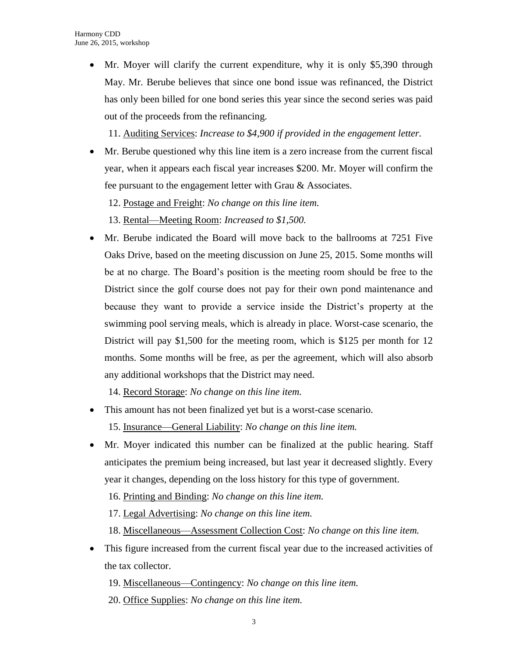Mr. Moyer will clarify the current expenditure, why it is only \$5,390 through May. Mr. Berube believes that since one bond issue was refinanced, the District has only been billed for one bond series this year since the second series was paid out of the proceeds from the refinancing.

11. Auditing Services: *Increase to \$4,900 if provided in the engagement letter.*

- Mr. Berube questioned why this line item is a zero increase from the current fiscal year, when it appears each fiscal year increases \$200. Mr. Moyer will confirm the fee pursuant to the engagement letter with Grau & Associates.
	- 12. Postage and Freight: *No change on this line item.*
	- 13. Rental—Meeting Room: *Increased to \$1,500.*
- Mr. Berube indicated the Board will move back to the ballrooms at 7251 Five Oaks Drive, based on the meeting discussion on June 25, 2015. Some months will be at no charge. The Board's position is the meeting room should be free to the District since the golf course does not pay for their own pond maintenance and because they want to provide a service inside the District's property at the swimming pool serving meals, which is already in place. Worst-case scenario, the District will pay \$1,500 for the meeting room, which is \$125 per month for 12 months. Some months will be free, as per the agreement, which will also absorb any additional workshops that the District may need.

14. Record Storage: *No change on this line item.*

- This amount has not been finalized yet but is a worst-case scenario. 15. Insurance—General Liability: *No change on this line item.*
- Mr. Moyer indicated this number can be finalized at the public hearing. Staff anticipates the premium being increased, but last year it decreased slightly. Every year it changes, depending on the loss history for this type of government.
	- 16. Printing and Binding: *No change on this line item.*
	- 17. Legal Advertising: *No change on this line item.*
	- 18. Miscellaneous—Assessment Collection Cost: *No change on this line item.*
- This figure increased from the current fiscal year due to the increased activities of the tax collector.
	- 19. Miscellaneous—Contingency: *No change on this line item.*
	- 20. Office Supplies: *No change on this line item.*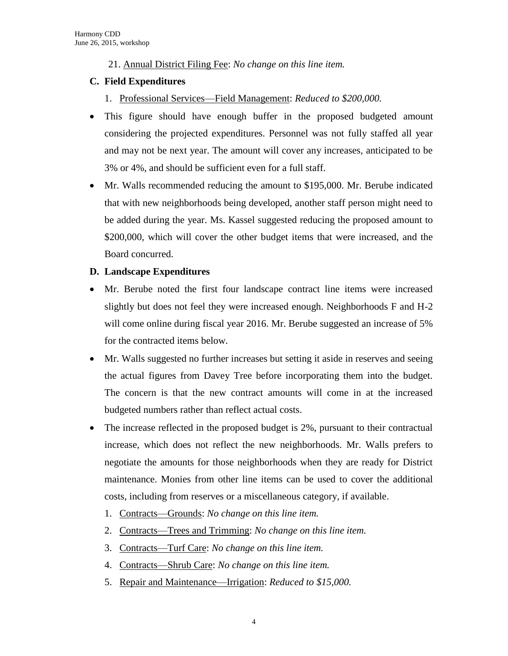21. Annual District Filing Fee: *No change on this line item.*

## **C. Field Expenditures**

- 1. Professional Services—Field Management: *Reduced to \$200,000.*
- This figure should have enough buffer in the proposed budgeted amount considering the projected expenditures. Personnel was not fully staffed all year and may not be next year. The amount will cover any increases, anticipated to be 3% or 4%, and should be sufficient even for a full staff.
- Mr. Walls recommended reducing the amount to \$195,000. Mr. Berube indicated that with new neighborhoods being developed, another staff person might need to be added during the year. Ms. Kassel suggested reducing the proposed amount to \$200,000, which will cover the other budget items that were increased, and the Board concurred.

## **D. Landscape Expenditures**

- Mr. Berube noted the first four landscape contract line items were increased slightly but does not feel they were increased enough. Neighborhoods F and H-2 will come online during fiscal year 2016. Mr. Berube suggested an increase of 5% for the contracted items below.
- Mr. Walls suggested no further increases but setting it aside in reserves and seeing the actual figures from Davey Tree before incorporating them into the budget. The concern is that the new contract amounts will come in at the increased budgeted numbers rather than reflect actual costs.
- The increase reflected in the proposed budget is 2%, pursuant to their contractual increase, which does not reflect the new neighborhoods. Mr. Walls prefers to negotiate the amounts for those neighborhoods when they are ready for District maintenance. Monies from other line items can be used to cover the additional costs, including from reserves or a miscellaneous category, if available.
	- 1. Contracts—Grounds: *No change on this line item.*
	- 2. Contracts—Trees and Trimming: *No change on this line item.*
	- 3. Contracts—Turf Care: *No change on this line item.*
	- 4. Contracts—Shrub Care: *No change on this line item.*
	- 5. Repair and Maintenance—Irrigation: *Reduced to \$15,000.*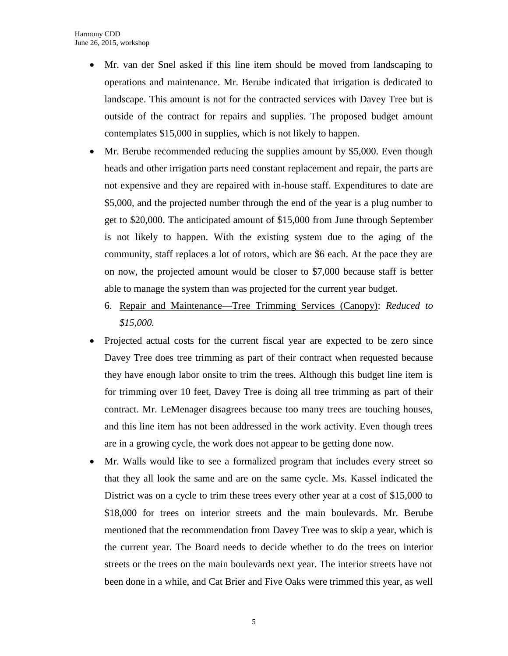- Mr. van der Snel asked if this line item should be moved from landscaping to operations and maintenance. Mr. Berube indicated that irrigation is dedicated to landscape. This amount is not for the contracted services with Davey Tree but is outside of the contract for repairs and supplies. The proposed budget amount contemplates \$15,000 in supplies, which is not likely to happen.
- Mr. Berube recommended reducing the supplies amount by \$5,000. Even though heads and other irrigation parts need constant replacement and repair, the parts are not expensive and they are repaired with in-house staff. Expenditures to date are \$5,000, and the projected number through the end of the year is a plug number to get to \$20,000. The anticipated amount of \$15,000 from June through September is not likely to happen. With the existing system due to the aging of the community, staff replaces a lot of rotors, which are \$6 each. At the pace they are on now, the projected amount would be closer to \$7,000 because staff is better able to manage the system than was projected for the current year budget.
	- 6. Repair and Maintenance—Tree Trimming Services (Canopy): *Reduced to \$15,000.*
- Projected actual costs for the current fiscal year are expected to be zero since Davey Tree does tree trimming as part of their contract when requested because they have enough labor onsite to trim the trees. Although this budget line item is for trimming over 10 feet, Davey Tree is doing all tree trimming as part of their contract. Mr. LeMenager disagrees because too many trees are touching houses, and this line item has not been addressed in the work activity. Even though trees are in a growing cycle, the work does not appear to be getting done now.
- Mr. Walls would like to see a formalized program that includes every street so that they all look the same and are on the same cycle. Ms. Kassel indicated the District was on a cycle to trim these trees every other year at a cost of \$15,000 to \$18,000 for trees on interior streets and the main boulevards. Mr. Berube mentioned that the recommendation from Davey Tree was to skip a year, which is the current year. The Board needs to decide whether to do the trees on interior streets or the trees on the main boulevards next year. The interior streets have not been done in a while, and Cat Brier and Five Oaks were trimmed this year, as well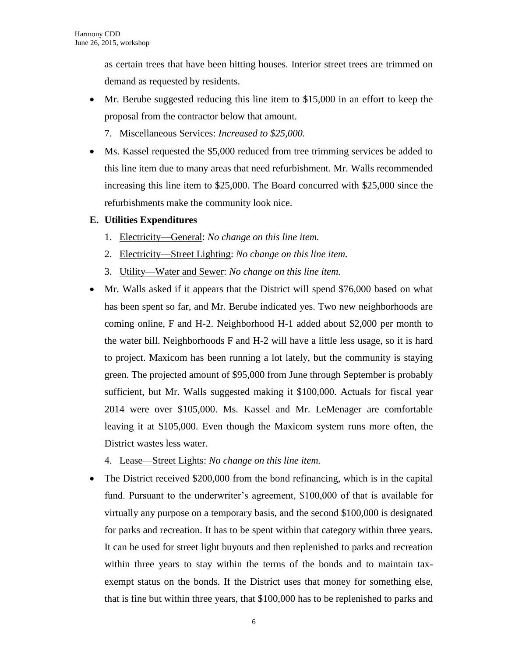as certain trees that have been hitting houses. Interior street trees are trimmed on demand as requested by residents.

- Mr. Berube suggested reducing this line item to \$15,000 in an effort to keep the proposal from the contractor below that amount.
	- 7. Miscellaneous Services: *Increased to \$25,000.*
- Ms. Kassel requested the \$5,000 reduced from tree trimming services be added to this line item due to many areas that need refurbishment. Mr. Walls recommended increasing this line item to \$25,000. The Board concurred with \$25,000 since the refurbishments make the community look nice.

## **E. Utilities Expenditures**

- 1. Electricity—General: *No change on this line item.*
- 2. Electricity—Street Lighting: *No change on this line item.*
- 3. Utility—Water and Sewer: *No change on this line item.*
- Mr. Walls asked if it appears that the District will spend \$76,000 based on what has been spent so far, and Mr. Berube indicated yes. Two new neighborhoods are coming online, F and H-2. Neighborhood H-1 added about \$2,000 per month to the water bill. Neighborhoods F and H-2 will have a little less usage, so it is hard to project. Maxicom has been running a lot lately, but the community is staying green. The projected amount of \$95,000 from June through September is probably sufficient, but Mr. Walls suggested making it \$100,000. Actuals for fiscal year 2014 were over \$105,000. Ms. Kassel and Mr. LeMenager are comfortable leaving it at \$105,000. Even though the Maxicom system runs more often, the District wastes less water.
	- 4. Lease—Street Lights: *No change on this line item.*
- The District received \$200,000 from the bond refinancing, which is in the capital fund. Pursuant to the underwriter's agreement, \$100,000 of that is available for virtually any purpose on a temporary basis, and the second \$100,000 is designated for parks and recreation. It has to be spent within that category within three years. It can be used for street light buyouts and then replenished to parks and recreation within three years to stay within the terms of the bonds and to maintain taxexempt status on the bonds. If the District uses that money for something else, that is fine but within three years, that \$100,000 has to be replenished to parks and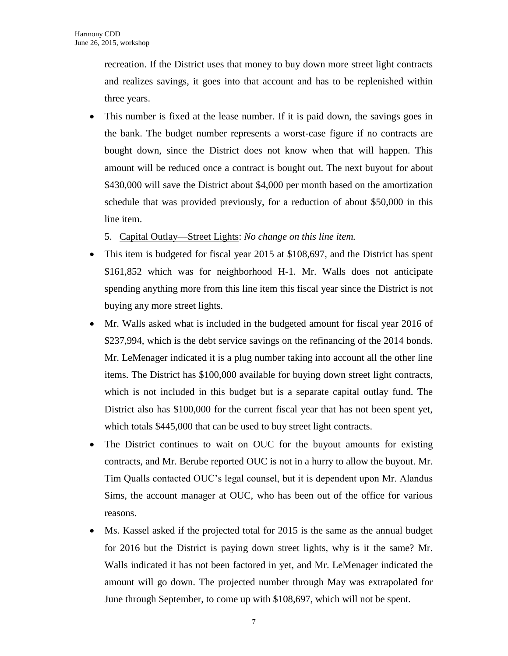recreation. If the District uses that money to buy down more street light contracts and realizes savings, it goes into that account and has to be replenished within three years.

 This number is fixed at the lease number. If it is paid down, the savings goes in the bank. The budget number represents a worst-case figure if no contracts are bought down, since the District does not know when that will happen. This amount will be reduced once a contract is bought out. The next buyout for about \$430,000 will save the District about \$4,000 per month based on the amortization schedule that was provided previously, for a reduction of about \$50,000 in this line item.

5. Capital Outlay—Street Lights: *No change on this line item.*

- This item is budgeted for fiscal year 2015 at \$108,697, and the District has spent \$161,852 which was for neighborhood H-1. Mr. Walls does not anticipate spending anything more from this line item this fiscal year since the District is not buying any more street lights.
- Mr. Walls asked what is included in the budgeted amount for fiscal year 2016 of \$237,994, which is the debt service savings on the refinancing of the 2014 bonds. Mr. LeMenager indicated it is a plug number taking into account all the other line items. The District has \$100,000 available for buying down street light contracts, which is not included in this budget but is a separate capital outlay fund. The District also has \$100,000 for the current fiscal year that has not been spent yet, which totals \$445,000 that can be used to buy street light contracts.
- The District continues to wait on OUC for the buyout amounts for existing contracts, and Mr. Berube reported OUC is not in a hurry to allow the buyout. Mr. Tim Qualls contacted OUC's legal counsel, but it is dependent upon Mr. Alandus Sims, the account manager at OUC, who has been out of the office for various reasons.
- Ms. Kassel asked if the projected total for 2015 is the same as the annual budget for 2016 but the District is paying down street lights, why is it the same? Mr. Walls indicated it has not been factored in yet, and Mr. LeMenager indicated the amount will go down. The projected number through May was extrapolated for June through September, to come up with \$108,697, which will not be spent.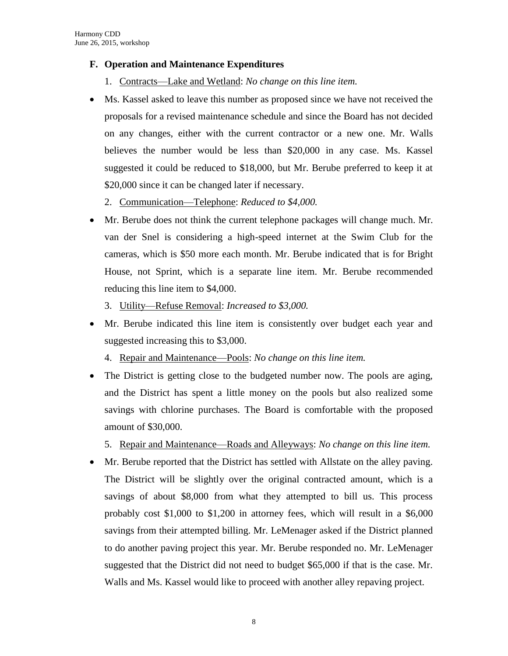#### **F. Operation and Maintenance Expenditures**

- 1. Contracts—Lake and Wetland: *No change on this line item.*
- Ms. Kassel asked to leave this number as proposed since we have not received the proposals for a revised maintenance schedule and since the Board has not decided on any changes, either with the current contractor or a new one. Mr. Walls believes the number would be less than \$20,000 in any case. Ms. Kassel suggested it could be reduced to \$18,000, but Mr. Berube preferred to keep it at \$20,000 since it can be changed later if necessary.
	- 2. Communication—Telephone: *Reduced to \$4,000.*
- Mr. Berube does not think the current telephone packages will change much. Mr. van der Snel is considering a high-speed internet at the Swim Club for the cameras, which is \$50 more each month. Mr. Berube indicated that is for Bright House, not Sprint, which is a separate line item. Mr. Berube recommended reducing this line item to \$4,000.
	- 3. Utility—Refuse Removal: *Increased to \$3,000.*
- Mr. Berube indicated this line item is consistently over budget each year and suggested increasing this to \$3,000.
	- 4. Repair and Maintenance—Pools: *No change on this line item.*
- The District is getting close to the budgeted number now. The pools are aging, and the District has spent a little money on the pools but also realized some savings with chlorine purchases. The Board is comfortable with the proposed amount of \$30,000.
	- 5. Repair and Maintenance—Roads and Alleyways: *No change on this line item.*
- Mr. Berube reported that the District has settled with Allstate on the alley paving. The District will be slightly over the original contracted amount, which is a savings of about \$8,000 from what they attempted to bill us. This process probably cost \$1,000 to \$1,200 in attorney fees, which will result in a \$6,000 savings from their attempted billing. Mr. LeMenager asked if the District planned to do another paving project this year. Mr. Berube responded no. Mr. LeMenager suggested that the District did not need to budget \$65,000 if that is the case. Mr. Walls and Ms. Kassel would like to proceed with another alley repaving project.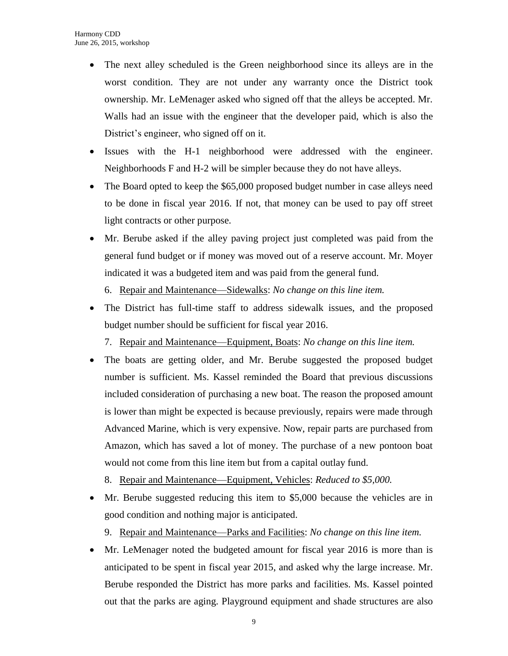- The next alley scheduled is the Green neighborhood since its alleys are in the worst condition. They are not under any warranty once the District took ownership. Mr. LeMenager asked who signed off that the alleys be accepted. Mr. Walls had an issue with the engineer that the developer paid, which is also the District's engineer, who signed off on it.
- Issues with the H-1 neighborhood were addressed with the engineer. Neighborhoods F and H-2 will be simpler because they do not have alleys.
- The Board opted to keep the \$65,000 proposed budget number in case alleys need to be done in fiscal year 2016. If not, that money can be used to pay off street light contracts or other purpose.
- Mr. Berube asked if the alley paving project just completed was paid from the general fund budget or if money was moved out of a reserve account. Mr. Moyer indicated it was a budgeted item and was paid from the general fund.
	- 6. Repair and Maintenance—Sidewalks: *No change on this line item.*
- The District has full-time staff to address sidewalk issues, and the proposed budget number should be sufficient for fiscal year 2016.
	- 7. Repair and Maintenance—Equipment, Boats: *No change on this line item.*
- The boats are getting older, and Mr. Berube suggested the proposed budget number is sufficient. Ms. Kassel reminded the Board that previous discussions included consideration of purchasing a new boat. The reason the proposed amount is lower than might be expected is because previously, repairs were made through Advanced Marine, which is very expensive. Now, repair parts are purchased from Amazon, which has saved a lot of money. The purchase of a new pontoon boat would not come from this line item but from a capital outlay fund.
	- 8. Repair and Maintenance—Equipment, Vehicles: *Reduced to \$5,000.*
- Mr. Berube suggested reducing this item to \$5,000 because the vehicles are in good condition and nothing major is anticipated.
	- 9. Repair and Maintenance—Parks and Facilities: *No change on this line item.*
- Mr. LeMenager noted the budgeted amount for fiscal year 2016 is more than is anticipated to be spent in fiscal year 2015, and asked why the large increase. Mr. Berube responded the District has more parks and facilities. Ms. Kassel pointed out that the parks are aging. Playground equipment and shade structures are also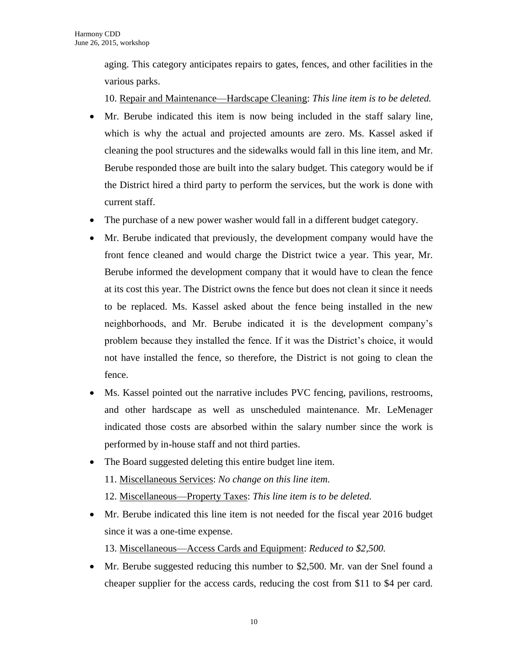aging. This category anticipates repairs to gates, fences, and other facilities in the various parks.

10. Repair and Maintenance—Hardscape Cleaning: *This line item is to be deleted.*

- Mr. Berube indicated this item is now being included in the staff salary line, which is why the actual and projected amounts are zero. Ms. Kassel asked if cleaning the pool structures and the sidewalks would fall in this line item, and Mr. Berube responded those are built into the salary budget. This category would be if the District hired a third party to perform the services, but the work is done with current staff.
- The purchase of a new power washer would fall in a different budget category.
- Mr. Berube indicated that previously, the development company would have the front fence cleaned and would charge the District twice a year. This year, Mr. Berube informed the development company that it would have to clean the fence at its cost this year. The District owns the fence but does not clean it since it needs to be replaced. Ms. Kassel asked about the fence being installed in the new neighborhoods, and Mr. Berube indicated it is the development company's problem because they installed the fence. If it was the District's choice, it would not have installed the fence, so therefore, the District is not going to clean the fence.
- Ms. Kassel pointed out the narrative includes PVC fencing, pavilions, restrooms, and other hardscape as well as unscheduled maintenance. Mr. LeMenager indicated those costs are absorbed within the salary number since the work is performed by in-house staff and not third parties.
- The Board suggested deleting this entire budget line item. 11. Miscellaneous Services: *No change on this line item.* 12. Miscellaneous—Property Taxes: *This line item is to be deleted.*
- Mr. Berube indicated this line item is not needed for the fiscal year 2016 budget since it was a one-time expense. 13. Miscellaneous—Access Cards and Equipment: *Reduced to \$2,500.*
- Mr. Berube suggested reducing this number to \$2,500. Mr. van der Snel found a cheaper supplier for the access cards, reducing the cost from \$11 to \$4 per card.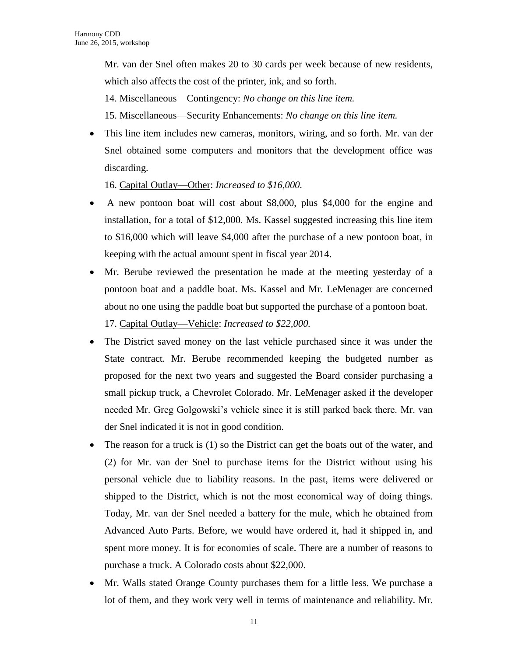Mr. van der Snel often makes 20 to 30 cards per week because of new residents, which also affects the cost of the printer, ink, and so forth.

14. Miscellaneous—Contingency: *No change on this line item.*

15. Miscellaneous—Security Enhancements: *No change on this line item.*

 This line item includes new cameras, monitors, wiring, and so forth. Mr. van der Snel obtained some computers and monitors that the development office was discarding.

16. Capital Outlay—Other: *Increased to \$16,000.*

- A new pontoon boat will cost about \$8,000, plus \$4,000 for the engine and installation, for a total of \$12,000. Ms. Kassel suggested increasing this line item to \$16,000 which will leave \$4,000 after the purchase of a new pontoon boat, in keeping with the actual amount spent in fiscal year 2014.
- Mr. Berube reviewed the presentation he made at the meeting yesterday of a pontoon boat and a paddle boat. Ms. Kassel and Mr. LeMenager are concerned about no one using the paddle boat but supported the purchase of a pontoon boat. 17. Capital Outlay—Vehicle: *Increased to \$22,000.*
- The District saved money on the last vehicle purchased since it was under the State contract. Mr. Berube recommended keeping the budgeted number as proposed for the next two years and suggested the Board consider purchasing a small pickup truck, a Chevrolet Colorado. Mr. LeMenager asked if the developer needed Mr. Greg Golgowski's vehicle since it is still parked back there. Mr. van der Snel indicated it is not in good condition.
- The reason for a truck is (1) so the District can get the boats out of the water, and (2) for Mr. van der Snel to purchase items for the District without using his personal vehicle due to liability reasons. In the past, items were delivered or shipped to the District, which is not the most economical way of doing things. Today, Mr. van der Snel needed a battery for the mule, which he obtained from Advanced Auto Parts. Before, we would have ordered it, had it shipped in, and spent more money. It is for economies of scale. There are a number of reasons to purchase a truck. A Colorado costs about \$22,000.
- Mr. Walls stated Orange County purchases them for a little less. We purchase a lot of them, and they work very well in terms of maintenance and reliability. Mr.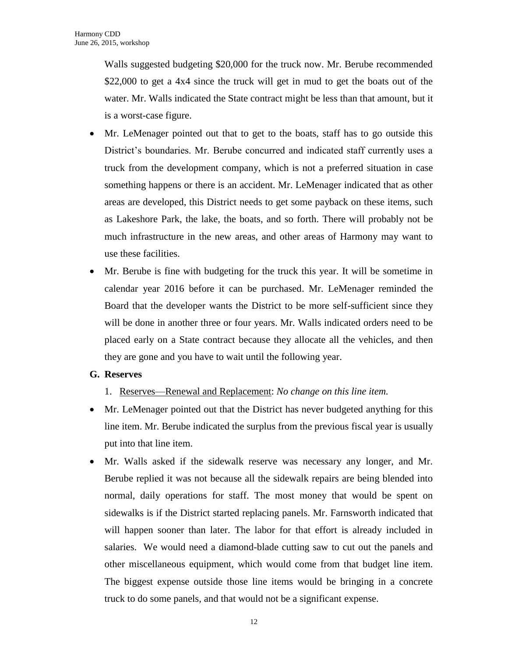Walls suggested budgeting \$20,000 for the truck now. Mr. Berube recommended \$22,000 to get a 4x4 since the truck will get in mud to get the boats out of the water. Mr. Walls indicated the State contract might be less than that amount, but it is a worst-case figure.

- Mr. LeMenager pointed out that to get to the boats, staff has to go outside this District's boundaries. Mr. Berube concurred and indicated staff currently uses a truck from the development company, which is not a preferred situation in case something happens or there is an accident. Mr. LeMenager indicated that as other areas are developed, this District needs to get some payback on these items, such as Lakeshore Park, the lake, the boats, and so forth. There will probably not be much infrastructure in the new areas, and other areas of Harmony may want to use these facilities.
- Mr. Berube is fine with budgeting for the truck this year. It will be sometime in calendar year 2016 before it can be purchased. Mr. LeMenager reminded the Board that the developer wants the District to be more self-sufficient since they will be done in another three or four years. Mr. Walls indicated orders need to be placed early on a State contract because they allocate all the vehicles, and then they are gone and you have to wait until the following year.

#### **G. Reserves**

- 1. Reserves—Renewal and Replacement: *No change on this line item.*
- Mr. LeMenager pointed out that the District has never budgeted anything for this line item. Mr. Berube indicated the surplus from the previous fiscal year is usually put into that line item.
- Mr. Walls asked if the sidewalk reserve was necessary any longer, and Mr. Berube replied it was not because all the sidewalk repairs are being blended into normal, daily operations for staff. The most money that would be spent on sidewalks is if the District started replacing panels. Mr. Farnsworth indicated that will happen sooner than later. The labor for that effort is already included in salaries. We would need a diamond-blade cutting saw to cut out the panels and other miscellaneous equipment, which would come from that budget line item. The biggest expense outside those line items would be bringing in a concrete truck to do some panels, and that would not be a significant expense.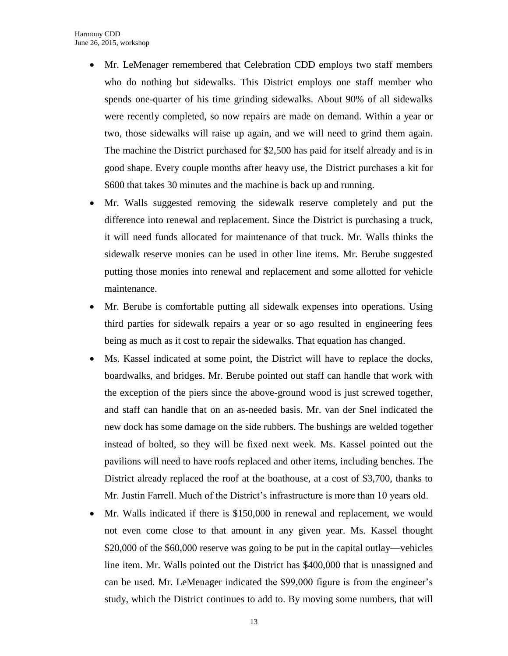- Mr. LeMenager remembered that Celebration CDD employs two staff members who do nothing but sidewalks. This District employs one staff member who spends one-quarter of his time grinding sidewalks. About 90% of all sidewalks were recently completed, so now repairs are made on demand. Within a year or two, those sidewalks will raise up again, and we will need to grind them again. The machine the District purchased for \$2,500 has paid for itself already and is in good shape. Every couple months after heavy use, the District purchases a kit for \$600 that takes 30 minutes and the machine is back up and running.
- Mr. Walls suggested removing the sidewalk reserve completely and put the difference into renewal and replacement. Since the District is purchasing a truck, it will need funds allocated for maintenance of that truck. Mr. Walls thinks the sidewalk reserve monies can be used in other line items. Mr. Berube suggested putting those monies into renewal and replacement and some allotted for vehicle maintenance.
- Mr. Berube is comfortable putting all sidewalk expenses into operations. Using third parties for sidewalk repairs a year or so ago resulted in engineering fees being as much as it cost to repair the sidewalks. That equation has changed.
- Ms. Kassel indicated at some point, the District will have to replace the docks, boardwalks, and bridges. Mr. Berube pointed out staff can handle that work with the exception of the piers since the above-ground wood is just screwed together, and staff can handle that on an as-needed basis. Mr. van der Snel indicated the new dock has some damage on the side rubbers. The bushings are welded together instead of bolted, so they will be fixed next week. Ms. Kassel pointed out the pavilions will need to have roofs replaced and other items, including benches. The District already replaced the roof at the boathouse, at a cost of \$3,700, thanks to Mr. Justin Farrell. Much of the District's infrastructure is more than 10 years old.
- Mr. Walls indicated if there is \$150,000 in renewal and replacement, we would not even come close to that amount in any given year. Ms. Kassel thought \$20,000 of the \$60,000 reserve was going to be put in the capital outlay—vehicles line item. Mr. Walls pointed out the District has \$400,000 that is unassigned and can be used. Mr. LeMenager indicated the \$99,000 figure is from the engineer's study, which the District continues to add to. By moving some numbers, that will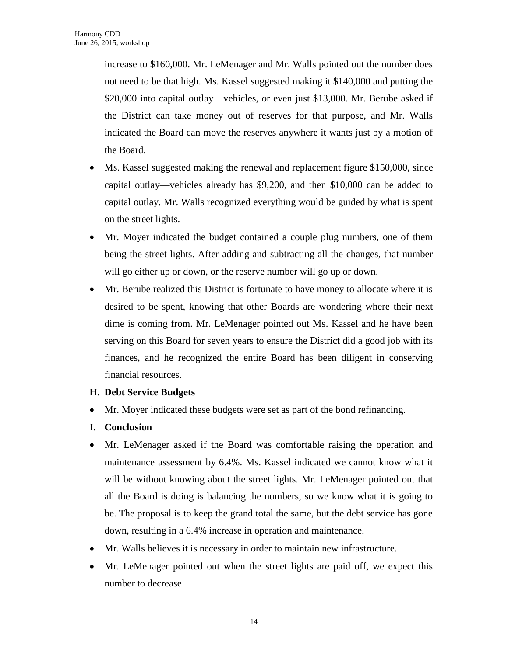increase to \$160,000. Mr. LeMenager and Mr. Walls pointed out the number does not need to be that high. Ms. Kassel suggested making it \$140,000 and putting the \$20,000 into capital outlay—vehicles, or even just \$13,000. Mr. Berube asked if the District can take money out of reserves for that purpose, and Mr. Walls indicated the Board can move the reserves anywhere it wants just by a motion of the Board.

- Ms. Kassel suggested making the renewal and replacement figure \$150,000, since capital outlay—vehicles already has \$9,200, and then \$10,000 can be added to capital outlay. Mr. Walls recognized everything would be guided by what is spent on the street lights.
- Mr. Moyer indicated the budget contained a couple plug numbers, one of them being the street lights. After adding and subtracting all the changes, that number will go either up or down, or the reserve number will go up or down.
- Mr. Berube realized this District is fortunate to have money to allocate where it is desired to be spent, knowing that other Boards are wondering where their next dime is coming from. Mr. LeMenager pointed out Ms. Kassel and he have been serving on this Board for seven years to ensure the District did a good job with its finances, and he recognized the entire Board has been diligent in conserving financial resources.
- **H. Debt Service Budgets**
- Mr. Moyer indicated these budgets were set as part of the bond refinancing.
- **I. Conclusion**
- Mr. LeMenager asked if the Board was comfortable raising the operation and maintenance assessment by 6.4%. Ms. Kassel indicated we cannot know what it will be without knowing about the street lights. Mr. LeMenager pointed out that all the Board is doing is balancing the numbers, so we know what it is going to be. The proposal is to keep the grand total the same, but the debt service has gone down, resulting in a 6.4% increase in operation and maintenance.
- Mr. Walls believes it is necessary in order to maintain new infrastructure.
- Mr. LeMenager pointed out when the street lights are paid off, we expect this number to decrease.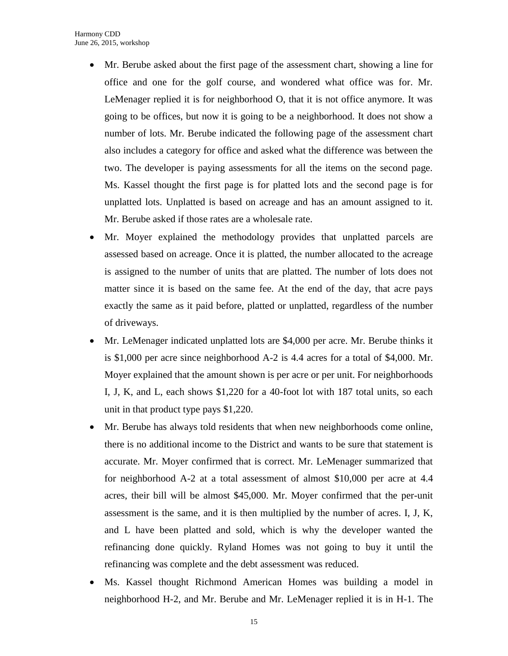- Mr. Berube asked about the first page of the assessment chart, showing a line for office and one for the golf course, and wondered what office was for. Mr. LeMenager replied it is for neighborhood O, that it is not office anymore. It was going to be offices, but now it is going to be a neighborhood. It does not show a number of lots. Mr. Berube indicated the following page of the assessment chart also includes a category for office and asked what the difference was between the two. The developer is paying assessments for all the items on the second page. Ms. Kassel thought the first page is for platted lots and the second page is for unplatted lots. Unplatted is based on acreage and has an amount assigned to it. Mr. Berube asked if those rates are a wholesale rate.
- Mr. Moyer explained the methodology provides that unplatted parcels are assessed based on acreage. Once it is platted, the number allocated to the acreage is assigned to the number of units that are platted. The number of lots does not matter since it is based on the same fee. At the end of the day, that acre pays exactly the same as it paid before, platted or unplatted, regardless of the number of driveways.
- Mr. LeMenager indicated unplatted lots are \$4,000 per acre. Mr. Berube thinks it is \$1,000 per acre since neighborhood A-2 is 4.4 acres for a total of \$4,000. Mr. Moyer explained that the amount shown is per acre or per unit. For neighborhoods I, J, K, and L, each shows \$1,220 for a 40-foot lot with 187 total units, so each unit in that product type pays \$1,220.
- Mr. Berube has always told residents that when new neighborhoods come online, there is no additional income to the District and wants to be sure that statement is accurate. Mr. Moyer confirmed that is correct. Mr. LeMenager summarized that for neighborhood A-2 at a total assessment of almost \$10,000 per acre at 4.4 acres, their bill will be almost \$45,000. Mr. Moyer confirmed that the per-unit assessment is the same, and it is then multiplied by the number of acres. I, J, K, and L have been platted and sold, which is why the developer wanted the refinancing done quickly. Ryland Homes was not going to buy it until the refinancing was complete and the debt assessment was reduced.
- Ms. Kassel thought Richmond American Homes was building a model in neighborhood H-2, and Mr. Berube and Mr. LeMenager replied it is in H-1. The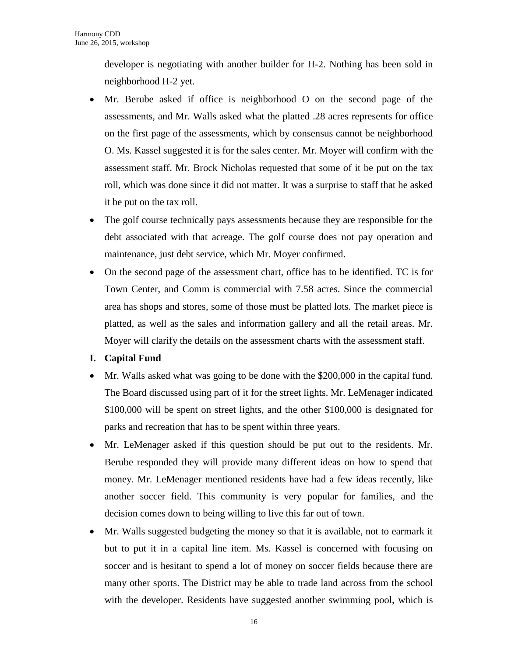developer is negotiating with another builder for H-2. Nothing has been sold in neighborhood H-2 yet.

- Mr. Berube asked if office is neighborhood O on the second page of the assessments, and Mr. Walls asked what the platted .28 acres represents for office on the first page of the assessments, which by consensus cannot be neighborhood O. Ms. Kassel suggested it is for the sales center. Mr. Moyer will confirm with the assessment staff. Mr. Brock Nicholas requested that some of it be put on the tax roll, which was done since it did not matter. It was a surprise to staff that he asked it be put on the tax roll.
- The golf course technically pays assessments because they are responsible for the debt associated with that acreage. The golf course does not pay operation and maintenance, just debt service, which Mr. Moyer confirmed.
- On the second page of the assessment chart, office has to be identified. TC is for Town Center, and Comm is commercial with 7.58 acres. Since the commercial area has shops and stores, some of those must be platted lots. The market piece is platted, as well as the sales and information gallery and all the retail areas. Mr. Moyer will clarify the details on the assessment charts with the assessment staff.
- **I. Capital Fund**
- Mr. Walls asked what was going to be done with the \$200,000 in the capital fund. The Board discussed using part of it for the street lights. Mr. LeMenager indicated \$100,000 will be spent on street lights, and the other \$100,000 is designated for parks and recreation that has to be spent within three years.
- Mr. LeMenager asked if this question should be put out to the residents. Mr. Berube responded they will provide many different ideas on how to spend that money. Mr. LeMenager mentioned residents have had a few ideas recently, like another soccer field. This community is very popular for families, and the decision comes down to being willing to live this far out of town.
- Mr. Walls suggested budgeting the money so that it is available, not to earmark it but to put it in a capital line item. Ms. Kassel is concerned with focusing on soccer and is hesitant to spend a lot of money on soccer fields because there are many other sports. The District may be able to trade land across from the school with the developer. Residents have suggested another swimming pool, which is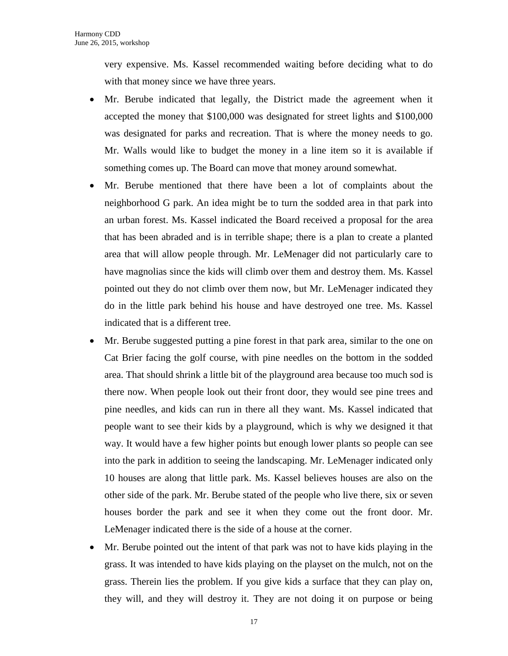very expensive. Ms. Kassel recommended waiting before deciding what to do with that money since we have three years.

- Mr. Berube indicated that legally, the District made the agreement when it accepted the money that \$100,000 was designated for street lights and \$100,000 was designated for parks and recreation. That is where the money needs to go. Mr. Walls would like to budget the money in a line item so it is available if something comes up. The Board can move that money around somewhat.
- Mr. Berube mentioned that there have been a lot of complaints about the neighborhood G park. An idea might be to turn the sodded area in that park into an urban forest. Ms. Kassel indicated the Board received a proposal for the area that has been abraded and is in terrible shape; there is a plan to create a planted area that will allow people through. Mr. LeMenager did not particularly care to have magnolias since the kids will climb over them and destroy them. Ms. Kassel pointed out they do not climb over them now, but Mr. LeMenager indicated they do in the little park behind his house and have destroyed one tree. Ms. Kassel indicated that is a different tree.
- Mr. Berube suggested putting a pine forest in that park area, similar to the one on Cat Brier facing the golf course, with pine needles on the bottom in the sodded area. That should shrink a little bit of the playground area because too much sod is there now. When people look out their front door, they would see pine trees and pine needles, and kids can run in there all they want. Ms. Kassel indicated that people want to see their kids by a playground, which is why we designed it that way. It would have a few higher points but enough lower plants so people can see into the park in addition to seeing the landscaping. Mr. LeMenager indicated only 10 houses are along that little park. Ms. Kassel believes houses are also on the other side of the park. Mr. Berube stated of the people who live there, six or seven houses border the park and see it when they come out the front door. Mr. LeMenager indicated there is the side of a house at the corner.
- Mr. Berube pointed out the intent of that park was not to have kids playing in the grass. It was intended to have kids playing on the playset on the mulch, not on the grass. Therein lies the problem. If you give kids a surface that they can play on, they will, and they will destroy it. They are not doing it on purpose or being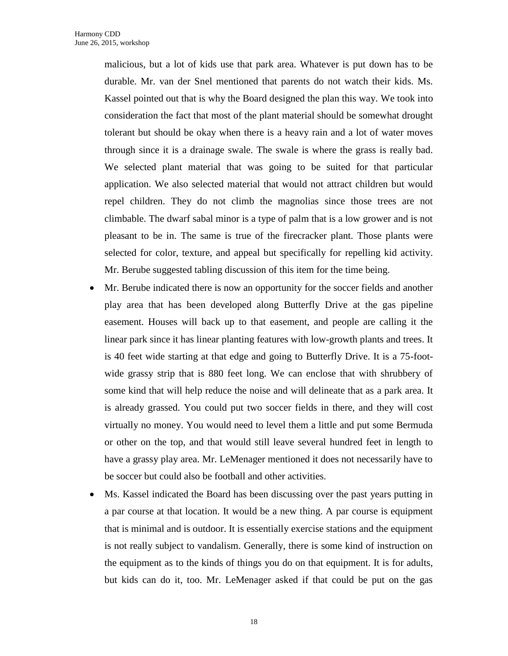malicious, but a lot of kids use that park area. Whatever is put down has to be durable. Mr. van der Snel mentioned that parents do not watch their kids. Ms. Kassel pointed out that is why the Board designed the plan this way. We took into consideration the fact that most of the plant material should be somewhat drought tolerant but should be okay when there is a heavy rain and a lot of water moves through since it is a drainage swale. The swale is where the grass is really bad. We selected plant material that was going to be suited for that particular application. We also selected material that would not attract children but would repel children. They do not climb the magnolias since those trees are not climbable. The dwarf sabal minor is a type of palm that is a low grower and is not pleasant to be in. The same is true of the firecracker plant. Those plants were selected for color, texture, and appeal but specifically for repelling kid activity. Mr. Berube suggested tabling discussion of this item for the time being.

- Mr. Berube indicated there is now an opportunity for the soccer fields and another play area that has been developed along Butterfly Drive at the gas pipeline easement. Houses will back up to that easement, and people are calling it the linear park since it has linear planting features with low-growth plants and trees. It is 40 feet wide starting at that edge and going to Butterfly Drive. It is a 75-footwide grassy strip that is 880 feet long. We can enclose that with shrubbery of some kind that will help reduce the noise and will delineate that as a park area. It is already grassed. You could put two soccer fields in there, and they will cost virtually no money. You would need to level them a little and put some Bermuda or other on the top, and that would still leave several hundred feet in length to have a grassy play area. Mr. LeMenager mentioned it does not necessarily have to be soccer but could also be football and other activities.
- Ms. Kassel indicated the Board has been discussing over the past years putting in a par course at that location. It would be a new thing. A par course is equipment that is minimal and is outdoor. It is essentially exercise stations and the equipment is not really subject to vandalism. Generally, there is some kind of instruction on the equipment as to the kinds of things you do on that equipment. It is for adults, but kids can do it, too. Mr. LeMenager asked if that could be put on the gas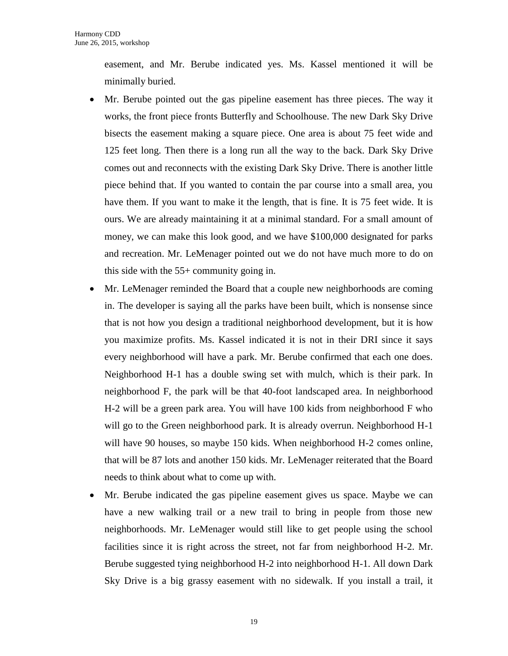easement, and Mr. Berube indicated yes. Ms. Kassel mentioned it will be minimally buried.

- Mr. Berube pointed out the gas pipeline easement has three pieces. The way it works, the front piece fronts Butterfly and Schoolhouse. The new Dark Sky Drive bisects the easement making a square piece. One area is about 75 feet wide and 125 feet long. Then there is a long run all the way to the back. Dark Sky Drive comes out and reconnects with the existing Dark Sky Drive. There is another little piece behind that. If you wanted to contain the par course into a small area, you have them. If you want to make it the length, that is fine. It is 75 feet wide. It is ours. We are already maintaining it at a minimal standard. For a small amount of money, we can make this look good, and we have \$100,000 designated for parks and recreation. Mr. LeMenager pointed out we do not have much more to do on this side with the 55+ community going in.
- Mr. LeMenager reminded the Board that a couple new neighborhoods are coming in. The developer is saying all the parks have been built, which is nonsense since that is not how you design a traditional neighborhood development, but it is how you maximize profits. Ms. Kassel indicated it is not in their DRI since it says every neighborhood will have a park. Mr. Berube confirmed that each one does. Neighborhood H-1 has a double swing set with mulch, which is their park. In neighborhood F, the park will be that 40-foot landscaped area. In neighborhood H-2 will be a green park area. You will have 100 kids from neighborhood F who will go to the Green neighborhood park. It is already overrun. Neighborhood H-1 will have 90 houses, so maybe 150 kids. When neighborhood H-2 comes online, that will be 87 lots and another 150 kids. Mr. LeMenager reiterated that the Board needs to think about what to come up with.
- Mr. Berube indicated the gas pipeline easement gives us space. Maybe we can have a new walking trail or a new trail to bring in people from those new neighborhoods. Mr. LeMenager would still like to get people using the school facilities since it is right across the street, not far from neighborhood H-2. Mr. Berube suggested tying neighborhood H-2 into neighborhood H-1. All down Dark Sky Drive is a big grassy easement with no sidewalk. If you install a trail, it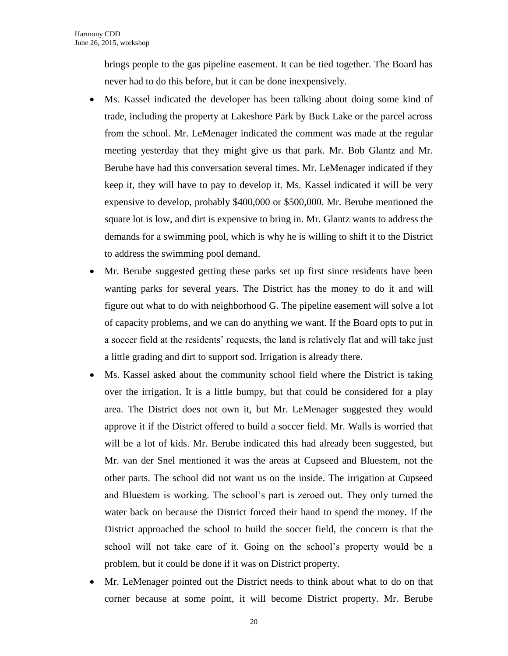brings people to the gas pipeline easement. It can be tied together. The Board has never had to do this before, but it can be done inexpensively.

- Ms. Kassel indicated the developer has been talking about doing some kind of trade, including the property at Lakeshore Park by Buck Lake or the parcel across from the school. Mr. LeMenager indicated the comment was made at the regular meeting yesterday that they might give us that park. Mr. Bob Glantz and Mr. Berube have had this conversation several times. Mr. LeMenager indicated if they keep it, they will have to pay to develop it. Ms. Kassel indicated it will be very expensive to develop, probably \$400,000 or \$500,000. Mr. Berube mentioned the square lot is low, and dirt is expensive to bring in. Mr. Glantz wants to address the demands for a swimming pool, which is why he is willing to shift it to the District to address the swimming pool demand.
- Mr. Berube suggested getting these parks set up first since residents have been wanting parks for several years. The District has the money to do it and will figure out what to do with neighborhood G. The pipeline easement will solve a lot of capacity problems, and we can do anything we want. If the Board opts to put in a soccer field at the residents' requests, the land is relatively flat and will take just a little grading and dirt to support sod. Irrigation is already there.
- Ms. Kassel asked about the community school field where the District is taking over the irrigation. It is a little bumpy, but that could be considered for a play area. The District does not own it, but Mr. LeMenager suggested they would approve it if the District offered to build a soccer field. Mr. Walls is worried that will be a lot of kids. Mr. Berube indicated this had already been suggested, but Mr. van der Snel mentioned it was the areas at Cupseed and Bluestem, not the other parts. The school did not want us on the inside. The irrigation at Cupseed and Bluestem is working. The school's part is zeroed out. They only turned the water back on because the District forced their hand to spend the money. If the District approached the school to build the soccer field, the concern is that the school will not take care of it. Going on the school's property would be a problem, but it could be done if it was on District property.
- Mr. LeMenager pointed out the District needs to think about what to do on that corner because at some point, it will become District property. Mr. Berube